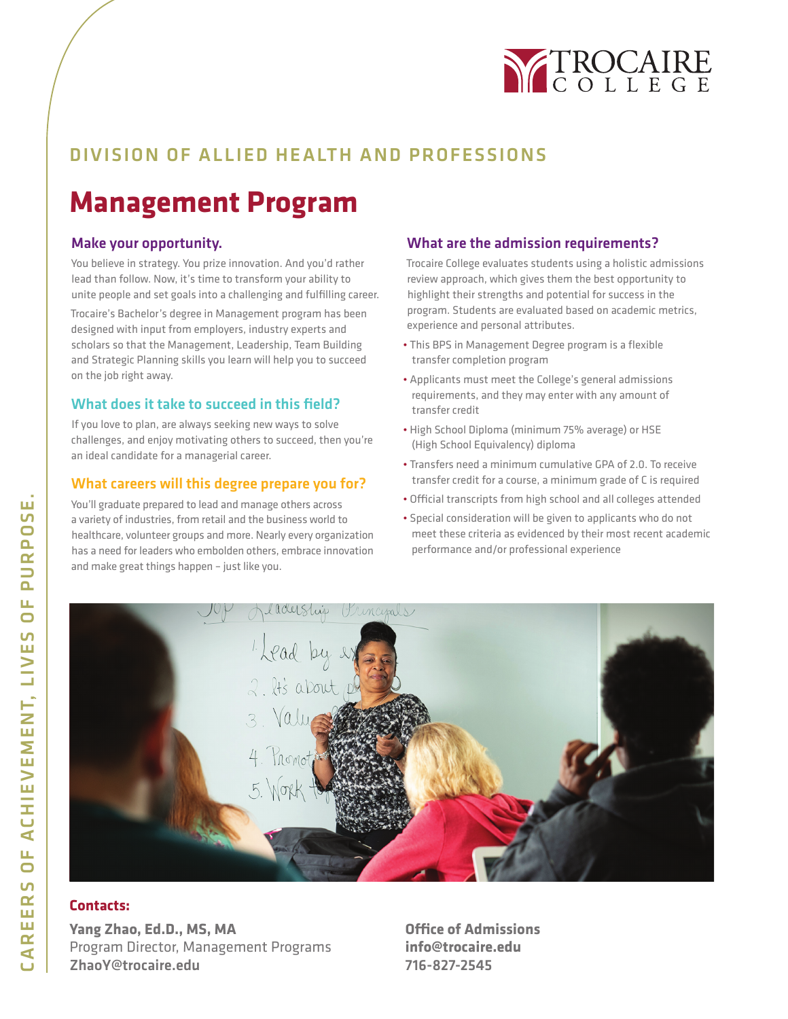

# DIVISION OF ALLIED HEALTH AND PROFESSIONS

# **Management Program**

### Make your opportunity.

You believe in strategy. You prize innovation. And you'd rather lead than follow. Now, it's time to transform your ability to unite people and set goals into a challenging and fulfilling career.

Trocaire's Bachelor's degree in Management program has been designed with input from employers, industry experts and scholars so that the Management, Leadership, Team Building and Strategic Planning skills you learn will help you to succeed on the job right away.

### What does it take to succeed in this field?

If you love to plan, are always seeking new ways to solve challenges, and enjoy motivating others to succeed, then you're an ideal candidate for a managerial career.

#### What careers will this degree prepare you for?

You'll graduate prepared to lead and manage others across a variety of industries, from retail and the business world to healthcare, volunteer groups and more. Nearly every organization has a need for leaders who embolden others, embrace innovation and make great things happen – just like you.

### What are the admission requirements?

Trocaire College evaluates students using a holistic admissions review approach, which gives them the best opportunity to highlight their strengths and potential for success in the program. Students are evaluated based on academic metrics, experience and personal attributes.

- This BPS in Management Degree program is a flexible transfer completion program
- Applicants must meet the College's general admissions requirements, and they may enter with any amount of transfer credit
- High School Diploma (minimum 75% average) or HSE (High School Equivalency) diploma
- Transfers need a minimum cumulative GPA of 2.0. To receive transfer credit for a course, a minimum grade of C is required
- Official transcripts from high school and all colleges attended
- Special consideration will be given to applicants who do not meet these criteria as evidenced by their most recent academic performance and/or professional experience



### **Contacts:**

**Yang Zhao, Ed.D., MS, MA** Program Director, Management Programs ZhaoY@trocaire.edu

**Office of Admissions info@trocaire.edu** 716-827-2545